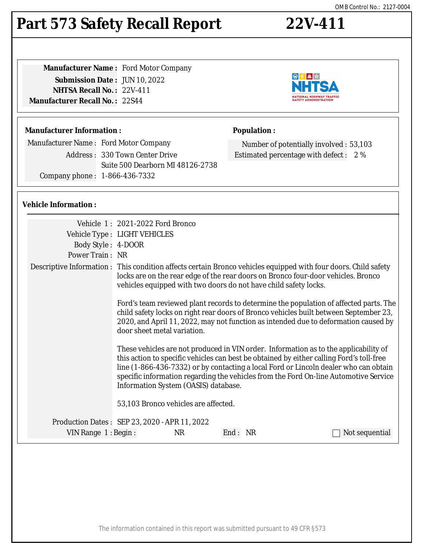#### The information contained in this report was submitted pursuant to 49 CFR §573

# **Part 573 Safety Recall Report 22V-411**

| <b>Manufacturer Name: Ford Motor Company</b> |  |
|----------------------------------------------|--|
| <b>Submission Date: JUN 10, 2022</b>         |  |
| <b>NHTSA Recall No.: 22V-411</b>             |  |
| <b>Manufacturer Recall No. : 22S44</b>       |  |
|                                              |  |

# **Manufacturer Information :**

Manufacturer Name : Ford Motor Company Address : 330 Town Center Drive Suite 500 Dearborn MI 48126-2738 Company phone : 1-866-436-7332

# **Vehicle Information :**

|                       | Vehicle 1: 2021-2022 Ford Bronco                                                                                                                                                                                                                                                                                                                                                                         |
|-----------------------|----------------------------------------------------------------------------------------------------------------------------------------------------------------------------------------------------------------------------------------------------------------------------------------------------------------------------------------------------------------------------------------------------------|
|                       | Vehicle Type : LIGHT VEHICLES                                                                                                                                                                                                                                                                                                                                                                            |
| Body Style: 4-DOOR    |                                                                                                                                                                                                                                                                                                                                                                                                          |
| Power Train: NR       |                                                                                                                                                                                                                                                                                                                                                                                                          |
|                       | Descriptive Information : This condition affects certain Bronco vehicles equipped with four doors. Child safety<br>locks are on the rear edge of the rear doors on Bronco four-door vehicles. Bronco<br>vehicles equipped with two doors do not have child safety locks.                                                                                                                                 |
|                       | Ford's team reviewed plant records to determine the population of affected parts. The<br>child safety locks on right rear doors of Bronco vehicles built between September 23,<br>2020, and April 11, 2022, may not function as intended due to deformation caused by<br>door sheet metal variation.                                                                                                     |
|                       | These vehicles are not produced in VIN order. Information as to the applicability of<br>this action to specific vehicles can best be obtained by either calling Ford's toll-free<br>line (1-866-436-7332) or by contacting a local Ford or Lincoln dealer who can obtain<br>specific information regarding the vehicles from the Ford On-line Automotive Service<br>Information System (OASIS) database. |
|                       | 53,103 Bronco vehicles are affected.                                                                                                                                                                                                                                                                                                                                                                     |
|                       | Production Dates : SEP 23, 2020 - APR 11, 2022                                                                                                                                                                                                                                                                                                                                                           |
| VIN Range $1:$ Begin: | End: NR<br><b>NR</b><br>Not sequential                                                                                                                                                                                                                                                                                                                                                                   |



# **Population :**

Number of potentially involved : 53,103 Estimated percentage with defect : 2 %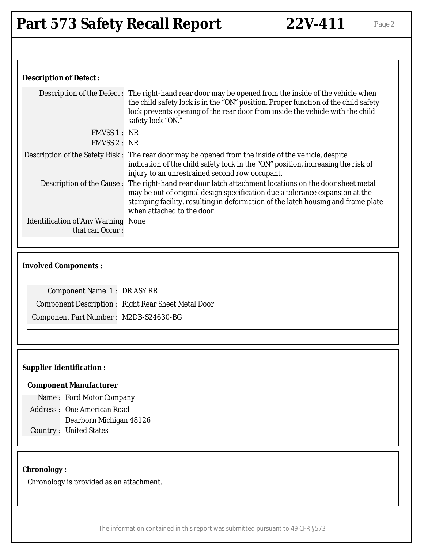## **Description of Defect :**

|                                                              | Description of the Defect: The right-hand rear door may be opened from the inside of the vehicle when<br>the child safety lock is in the "ON" position. Proper function of the child safety<br>lock prevents opening of the rear door from inside the vehicle with the child<br>safety lock "ON."       |
|--------------------------------------------------------------|---------------------------------------------------------------------------------------------------------------------------------------------------------------------------------------------------------------------------------------------------------------------------------------------------------|
| FMVSS 1 : NR                                                 |                                                                                                                                                                                                                                                                                                         |
| FMVSS 2: NR                                                  |                                                                                                                                                                                                                                                                                                         |
|                                                              | Description of the Safety Risk: The rear door may be opened from the inside of the vehicle, despite<br>indication of the child safety lock in the "ON" position, increasing the risk of<br>injury to an unrestrained second row occupant.                                                               |
|                                                              | Description of the Cause: The right-hand rear door latch attachment locations on the door sheet metal<br>may be out of original design specification due a tolerance expansion at the<br>stamping facility, resulting in deformation of the latch housing and frame plate<br>when attached to the door. |
| <b>Identification of Any Warning None</b><br>that can Occur: |                                                                                                                                                                                                                                                                                                         |
|                                                              |                                                                                                                                                                                                                                                                                                         |

#### **Involved Components :**

Component Name 1 : DR ASY RR Component Description : Right Rear Sheet Metal Door Component Part Number : M2DB-S24630-BG

#### **Supplier Identification :**

#### **Component Manufacturer**

Name : Ford Motor Company

- Address : One American Road
	- Dearborn Michigan 48126
- Country : United States

#### **Chronology :**

Chronology is provided as an attachment.

The information contained in this report was submitted pursuant to 49 CFR §573